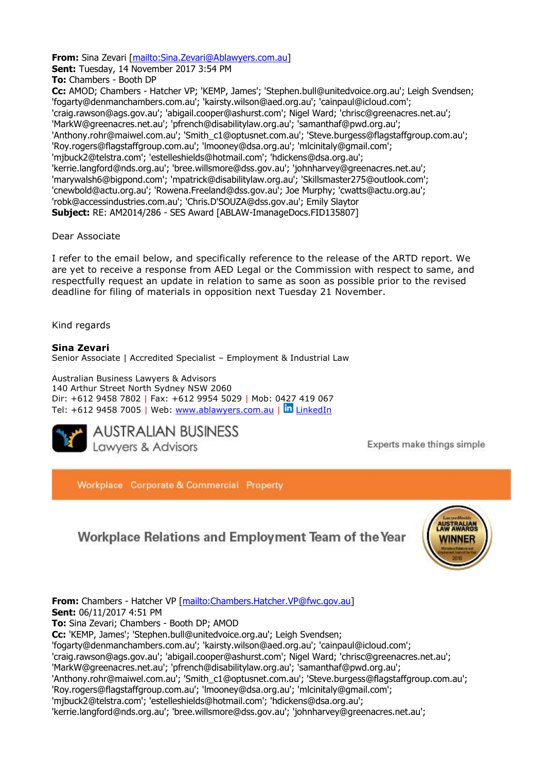**Sent:** Tuesday, 14 November 2017 3:54 PM **To:** Chambers - Booth DP **Cc:** AMOD; Chambers - Hatcher VP; 'KEMP, James'; 'Stephen.bull@unitedvoice.org.au'; Leigh Svendsen; 'fogarty@denmanchambers.com.au'; 'kairsty.wilson@aed.org.au'; 'cainpaul@icloud.com'; 'craig.rawson@ags.gov.au'; 'abigail.cooper@ashurst.com'; Nigel Ward; 'chrisc@greenacres.net.au'; 'MarkW@greenacres.net.au'; 'pfrench@disabilitylaw.org.au'; 'samanthaf@pwd.org.au'; 'Anthony.rohr@maiwel.com.au'; 'Smith\_c1@optusnet.com.au'; 'Steve.burgess@flagstaffgroup.com.au'; 'Roy.rogers@flagstaffgroup.com.au'; 'lmooney@dsa.org.au'; 'mlcinitaly@gmail.com'; 'mjbuck2@telstra.com'; 'estelleshields@hotmail.com'; 'hdickens@dsa.org.au'; 'kerrie.langford@nds.org.au'; 'bree.willsmore@dss.gov.au'; 'johnharvey@greenacres.net.au'; 'marywalsh6@bigpond.com'; 'mpatrick@disabilitylaw.org.au'; 'Skillsmaster275@outlook.com'; 'cnewbold@actu.org.au'; 'Rowena.Freeland@dss.gov.au'; Joe Murphy; 'cwatts@actu.org.au'; 'robk@accessindustries.com.au'; 'Chris.D'SOUZA@dss.gov.au'; Emily Slaytor **Subject:** RE: AM2014/286 - SES Award [ABLAW-ImanageDocs.FID135807]

## Dear Associate

I refer to the email below, and specifically reference to the release of the ARTD report. We are yet to receive a response from AED Legal or the Commission with respect to same, and respectfully request an update in relation to same as soon as possible prior to the revised deadline for filing of materials in opposition next Tuesday 21 November.

Kind regards

# **Sina Zevari**

Senior Associate | Accredited Specialist – Employment & Industrial Law

**From:** Sina Zevari [\[mailto:Sina.Zevari@Ablawyers.com.au\]](mailto:Sina.Zevari@Ablawyers.com.au)

Australian Business Lawyers & Advisors 140 Arthur Street North Sydney NSW 2060 Dir: +612 9458 7802 | Fax: +612 9954 5029 | Mob: 0427 419 067 Tel: +612 9458 7005 | Web:<www.ablawyers.com.au> | In [LinkedIn](https://www.linkedin.com/company/australian-business-lawyers?trk=top_nav_home)



Experts make things simple

Workplace Corporate & Commercial Property

# Workplace Relations and Employment Team of the Year



**From:** Chambers - Hatcher VP [\[mailto:Chambers.Hatcher.VP@fwc.gov.au\]](mailto:Chambers.Hatcher.VP@fwc.gov.au) **Sent:** 06/11/2017 4:51 PM **To:** Sina Zevari; Chambers - Booth DP; AMOD **Cc:** 'KEMP, James'; 'Stephen.bull@unitedvoice.org.au'; Leigh Svendsen; 'fogarty@denmanchambers.com.au'; 'kairsty.wilson@aed.org.au'; 'cainpaul@icloud.com'; 'craig.rawson@ags.gov.au'; 'abigail.cooper@ashurst.com'; Nigel Ward; 'chrisc@greenacres.net.au'; 'MarkW@greenacres.net.au'; 'pfrench@disabilitylaw.org.au'; 'samanthaf@pwd.org.au'; 'Anthony.rohr@maiwel.com.au'; 'Smith\_c1@optusnet.com.au'; 'Steve.burgess@flagstaffgroup.com.au'; 'Roy.rogers@flagstaffgroup.com.au'; 'lmooney@dsa.org.au'; 'mlcinitaly@gmail.com'; 'mjbuck2@telstra.com'; 'estelleshields@hotmail.com'; 'hdickens@dsa.org.au';

'kerrie.langford@nds.org.au'; 'bree.willsmore@dss.gov.au'; 'johnharvey@greenacres.net.au';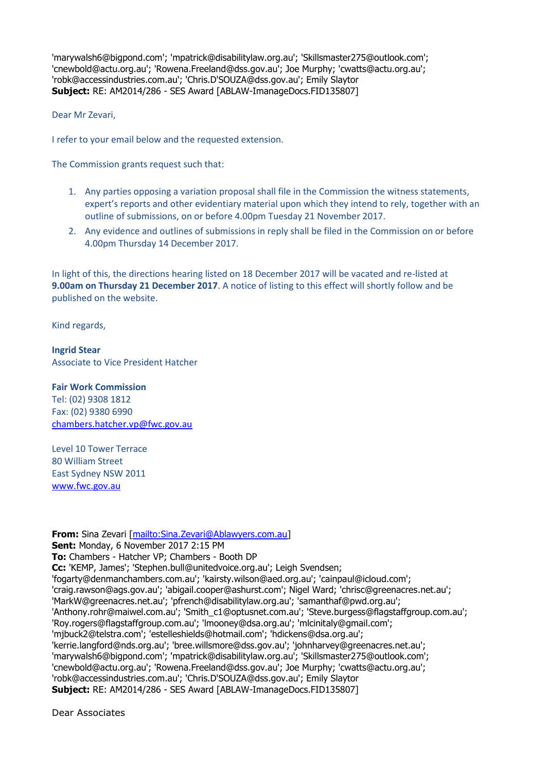'marywalsh6@bigpond.com'; 'mpatrick@disabilitylaw.org.au'; 'Skillsmaster275@outlook.com'; 'cnewbold@actu.org.au'; 'Rowena.Freeland@dss.gov.au'; Joe Murphy; 'cwatts@actu.org.au'; 'robk@accessindustries.com.au'; 'Chris.D'SOUZA@dss.gov.au'; Emily Slaytor **Subject:** RE: AM2014/286 - SES Award [ABLAW-ImanageDocs.FID135807]

Dear Mr Zevari,

I refer to your email below and the requested extension.

The Commission grants request such that:

- 1. Any parties opposing a variation proposal shall file in the Commission the witness statements, expert's reports and other evidentiary material upon which they intend to rely, together with an outline of submissions, on or before 4.00pm Tuesday 21 November 2017.
- 2. Any evidence and outlines of submissions in reply shall be filed in the Commission on or before 4.00pm Thursday 14 December 2017.

In light of this, the directions hearing listed on 18 December 2017 will be vacated and re-listed at **9.00am on Thursday 21 December 2017**. A notice of listing to this effect will shortly follow and be published on the website.

Kind regards,

**Ingrid Stear** Associate to Vice President Hatcher

**Fair Work Commission** 

Tel: (02) 9308 1812 Fax: (02) 9380 6990 [chambers.hatcher.vp@fwc.gov.au](mailto:chambers.hatcher.vp@fwc.gov.au) 

Level 10 Tower Terrace 80 William Street East Sydney NSW 2011 [www.fwc.gov.au](http://www.fwc.gov.au/)

**From:** Sina Zevari [\[mailto:Sina.Zevari@Ablawyers.com.au\]](mailto:Sina.Zevari@Ablawyers.com.au) **Sent:** Monday, 6 November 2017 2:15 PM **To:** Chambers - Hatcher VP; Chambers - Booth DP **Cc:** 'KEMP, James'; 'Stephen.bull@unitedvoice.org.au'; Leigh Svendsen; 'fogarty@denmanchambers.com.au'; 'kairsty.wilson@aed.org.au'; 'cainpaul@icloud.com'; 'craig.rawson@ags.gov.au'; 'abigail.cooper@ashurst.com'; Nigel Ward; 'chrisc@greenacres.net.au'; 'MarkW@greenacres.net.au'; 'pfrench@disabilitylaw.org.au'; 'samanthaf@pwd.org.au'; 'Anthony.rohr@maiwel.com.au'; 'Smith\_c1@optusnet.com.au'; 'Steve.burgess@flagstaffgroup.com.au'; 'Roy.rogers@flagstaffgroup.com.au'; 'lmooney@dsa.org.au'; 'mlcinitaly@gmail.com'; 'mjbuck2@telstra.com'; 'estelleshields@hotmail.com'; 'hdickens@dsa.org.au'; 'kerrie.langford@nds.org.au'; 'bree.willsmore@dss.gov.au'; 'johnharvey@greenacres.net.au'; 'marywalsh6@bigpond.com'; 'mpatrick@disabilitylaw.org.au'; 'Skillsmaster275@outlook.com'; 'cnewbold@actu.org.au'; 'Rowena.Freeland@dss.gov.au'; Joe Murphy; 'cwatts@actu.org.au'; 'robk@accessindustries.com.au'; 'Chris.D'SOUZA@dss.gov.au'; Emily Slaytor **Subject:** RE: AM2014/286 - SES Award [ABLAW-ImanageDocs.FID135807]

Dear Associates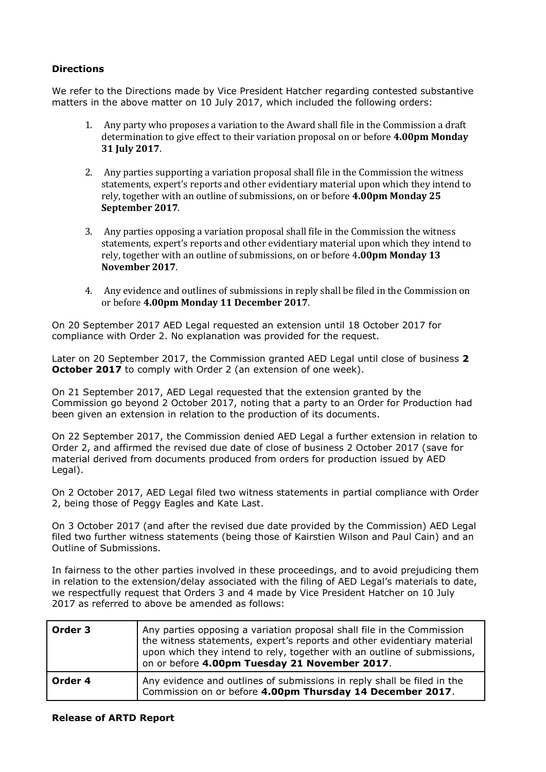# **Directions**

We refer to the Directions made by Vice President Hatcher regarding contested substantive matters in the above matter on 10 July 2017, which included the following orders:

- 1. Any party who proposes a variation to the Award shall file in the Commission a draft determination to give effect to their variation proposal on or before **4.00pm Monday 31 July 2017**.
- 2. Any parties supporting a variation proposal shall file in the Commission the witness statements, expert's reports and other evidentiary material upon which they intend to rely, together with an outline of submissions, on or before **4.00pm Monday 25 September 2017**.
- 3. Any parties opposing a variation proposal shall file in the Commission the witness statements, expert's reports and other evidentiary material upon which they intend to rely, together with an outline of submissions, on or before 4**.00pm Monday 13 November 2017**.
- 4. Any evidence and outlines of submissions in reply shall be filed in the Commission on or before **4.00pm Monday 11 December 2017**.

On 20 September 2017 AED Legal requested an extension until 18 October 2017 for compliance with Order 2. No explanation was provided for the request.

Later on 20 September 2017, the Commission granted AED Legal until close of business **2 October 2017** to comply with Order 2 (an extension of one week).

On 21 September 2017, AED Legal requested that the extension granted by the Commission go beyond 2 October 2017, noting that a party to an Order for Production had been given an extension in relation to the production of its documents.

On 22 September 2017, the Commission denied AED Legal a further extension in relation to Order 2, and affirmed the revised due date of close of business 2 October 2017 (save for material derived from documents produced from orders for production issued by AED Legal).

On 2 October 2017, AED Legal filed two witness statements in partial compliance with Order 2, being those of Peggy Eagles and Kate Last.

On 3 October 2017 (and after the revised due date provided by the Commission) AED Legal filed two further witness statements (being those of Kairstien Wilson and Paul Cain) and an Outline of Submissions.

In fairness to the other parties involved in these proceedings, and to avoid prejudicing them in relation to the extension/delay associated with the filing of AED Legal's materials to date, we respectfully request that Orders 3 and 4 made by Vice President Hatcher on 10 July 2017 as referred to above be amended as follows:

| Order 3 | Any parties opposing a variation proposal shall file in the Commission<br>the witness statements, expert's reports and other evidentiary material<br>upon which they intend to rely, together with an outline of submissions,<br>on or before 4.00pm Tuesday 21 November 2017. |
|---------|--------------------------------------------------------------------------------------------------------------------------------------------------------------------------------------------------------------------------------------------------------------------------------|
| Order 4 | Any evidence and outlines of submissions in reply shall be filed in the<br>Commission on or before 4.00pm Thursday 14 December 2017.                                                                                                                                           |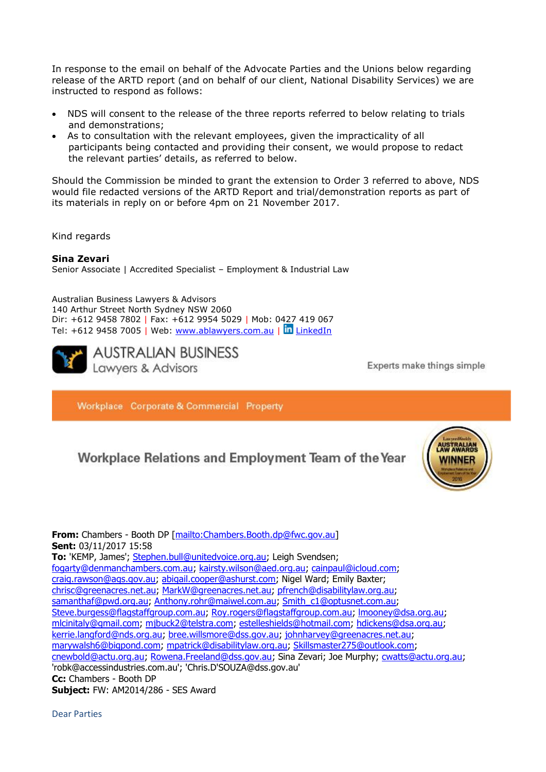In response to the email on behalf of the Advocate Parties and the Unions below regarding release of the ARTD report (and on behalf of our client, National Disability Services) we are instructed to respond as follows:

- NDS will consent to the release of the three reports referred to below relating to trials and demonstrations;
- As to consultation with the relevant employees, given the impracticality of all participants being contacted and providing their consent, we would propose to redact the relevant parties' details, as referred to below.

Should the Commission be minded to grant the extension to Order 3 referred to above, NDS would file redacted versions of the ARTD Report and trial/demonstration reports as part of its materials in reply on or before 4pm on 21 November 2017.

Kind regards

#### **Sina Zevari**

Senior Associate | Accredited Specialist – Employment & Industrial Law

Australian Business Lawyers & Advisors 140 Arthur Street North Sydney NSW 2060 Dir: +612 9458 7802 | Fax: +612 9954 5029 | Mob: 0427 419 067 Tel: +612 9458 7005 | Web:<www.ablawyers.com.au> | in [LinkedIn](https://www.linkedin.com/company/australian-business-lawyers?trk=top_nav_home)



Experts make things simple

Workplace Corporate & Commercial Property

# Workplace Relations and Employment Team of the Year



**From:** Chambers - Booth DP [\[mailto:Chambers.Booth.dp@fwc.gov.au\]](mailto:Chambers.Booth.dp@fwc.gov.au) **Sent:** 03/11/2017 15:58 **To:** 'KEMP, James'; [Stephen.bull@unitedvoice.org.au;](mailto:Stephen.bull@unitedvoice.org.au) Leigh Svendsen; [fogarty@denmanchambers.com.au;](mailto:fogarty@denmanchambers.com.au) [kairsty.wilson@aed.org.au;](mailto:kairsty.wilson@aed.org.au) [cainpaul@icloud.com;](mailto:cainpaul@icloud.com) [craig.rawson@ags.gov.au;](mailto:craig.rawson@ags.gov.au) [abigail.cooper@ashurst.com;](mailto:abigail.cooper@ashurst.com) Nigel Ward; Emily Baxter; [chrisc@greenacres.net.au;](mailto:chrisc@greenacres.net.au) [MarkW@greenacres.net.au;](mailto:MarkW@greenacres.net.au) [pfrench@disabilitylaw.org.au;](mailto:pfrench@disabilitylaw.org.au) [samanthaf@pwd.org.au;](mailto:samanthaf@pwd.org.au) [Anthony.rohr@maiwel.com.au;](mailto:Anthony.rohr@maiwel.com.au) [Smith\\_c1@optusnet.com.au;](mailto:Smith_c1@optusnet.com.au) [Steve.burgess@flagstaffgroup.com.au;](mailto:Steve.burgess@flagstaffgroup.com.au) [Roy.rogers@flagstaffgroup.com.au;](mailto:Roy.rogers@flagstaffgroup.com.au) [lmooney@dsa.org.au;](mailto:lmooney@dsa.org.au) [mlcinitaly@gmail.com;](mailto:mlcinitaly@gmail.com) [mjbuck2@telstra.com;](mailto:mjbuck2@telstra.com) [estelleshields@hotmail.com;](mailto:estelleshields@hotmail.com) [hdickens@dsa.org.au;](mailto:hdickens@dsa.org.au) [kerrie.langford@nds.org.au;](mailto:kerrie.langford@nds.org.au) [bree.willsmore@dss.gov.au;](mailto:bree.willsmore@dss.gov.au) [johnharvey@greenacres.net.au;](mailto:johnharvey@greenacres.net.au) [marywalsh6@bigpond.com;](mailto:marywalsh6@bigpond.com) [mpatrick@disabilitylaw.org.au;](mailto:mpatrick@disabilitylaw.org.au) [Skillsmaster275@outlook.com;](mailto:Skillsmaster275@outlook.com) [cnewbold@actu.org.au;](mailto:cnewbold@actu.org.au) [Rowena.Freeland@dss.gov.au;](mailto:Rowena.Freeland@dss.gov.au) Sina Zevari; Joe Murphy; [cwatts@actu.org.au;](mailto:cwatts@actu.org.au) 'robk@accessindustries.com.au'; 'Chris.D'SOUZA@dss.gov.au' **Cc:** Chambers - Booth DP **Subject:** FW: AM2014/286 - SES Award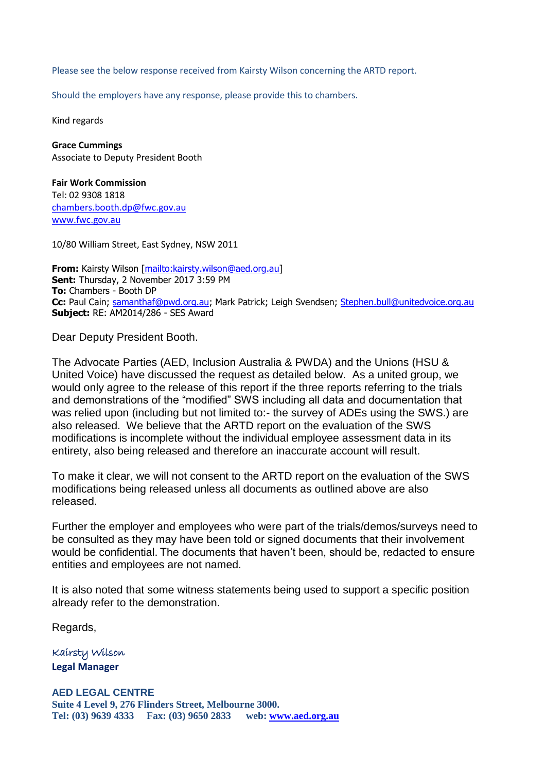Please see the below response received from Kairsty Wilson concerning the ARTD report.

Should the employers have any response, please provide this to chambers.

Kind regards

**Grace Cummings** Associate to Deputy President Booth

**Fair Work Commission** Tel: 02 9308 1818 [chambers.booth.dp@fwc.gov.au](mailto:chambers.booth.dp@fwc.gov.au) [www.fwc.gov.au](http://www.fwc.gov.au/)

10/80 William Street, East Sydney, NSW 2011

**From:** Kairsty Wilson [\[mailto:kairsty.wilson@aed.org.au\]](mailto:kairsty.wilson@aed.org.au) **Sent:** Thursday, 2 November 2017 3:59 PM **To:** Chambers - Booth DP Cc: Paul Cain; [samanthaf@pwd.org.au;](mailto:samanthaf@pwd.org.au) Mark Patrick; Leigh Svendsen; [Stephen.bull@unitedvoice.org.au](mailto:Stephen.bull@unitedvoice.org.au) **Subject:** RE: AM2014/286 - SES Award

Dear Deputy President Booth.

The Advocate Parties (AED, Inclusion Australia & PWDA) and the Unions (HSU & United Voice) have discussed the request as detailed below. As a united group, we would only agree to the release of this report if the three reports referring to the trials and demonstrations of the "modified" SWS including all data and documentation that was relied upon (including but not limited to:- the survey of ADEs using the SWS.) are also released. We believe that the ARTD report on the evaluation of the SWS modifications is incomplete without the individual employee assessment data in its entirety, also being released and therefore an inaccurate account will result.

To make it clear, we will not consent to the ARTD report on the evaluation of the SWS modifications being released unless all documents as outlined above are also released.

Further the employer and employees who were part of the trials/demos/surveys need to be consulted as they may have been told or signed documents that their involvement would be confidential. The documents that haven't been, should be, redacted to ensure entities and employees are not named.

It is also noted that some witness statements being used to support a specific position already refer to the demonstration.

Regards,

Kairsty Wilson **Legal Manager**

**AED LEGAL CENTRE Suite 4 Level 9, 276 Flinders Street, Melbourne 3000. Tel: (03) 9639 4333 Fax: (03) 9650 2833 web:<www.aed.org.au>**